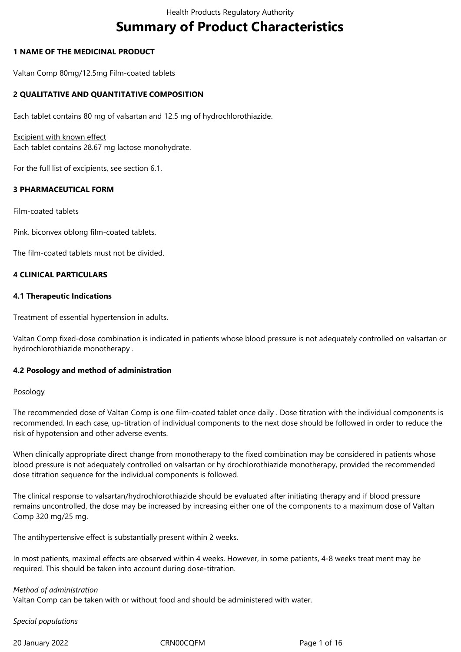# **Summary of Product Characteristics**

# **1 NAME OF THE MEDICINAL PRODUCT**

Valtan Comp 80mg/12.5mg Film-coated tablets

# **2 QUALITATIVE AND QUANTITATIVE COMPOSITION**

Each tablet contains 80 mg of valsartan and 12.5 mg of hydrochlorothiazide.

### Excipient with known effect

Each tablet contains 28.67 mg lactose monohydrate.

For the full list of excipients, see section 6.1.

# **3 PHARMACEUTICAL FORM**

Film-coated tablets

Pink, biconvex oblong film-coated tablets.

The film-coated tablets must not be divided.

# **4 CLINICAL PARTICULARS**

### **4.1 Therapeutic Indications**

Treatment of essential hypertension in adults.

Valtan Comp fixed-dose combination is indicated in patients whose blood pressure is not adequately controlled on valsartan or hydrochlorothiazide monotherapy .

### **4.2 Posology and method of administration**

### Posology

The recommended dose of Valtan Comp is one film-coated tablet once daily . Dose titration with the individual components is recommended. In each case, up-titration of individual components to the next dose should be followed in order to reduce the risk of hypotension and other adverse events.

When clinically appropriate direct change from monotherapy to the fixed combination may be considered in patients whose blood pressure is not adequately controlled on valsartan or hy drochlorothiazide monotherapy, provided the recommended dose titration sequence for the individual components is followed.

The clinical response to valsartan/hydrochlorothiazide should be evaluated after initiating therapy and if blood pressure remains uncontrolled, the dose may be increased by increasing either one of the components to a maximum dose of Valtan Comp 320 mg/25 mg.

The antihypertensive effect is substantially present within 2 weeks.

In most patients, maximal effects are observed within 4 weeks. However, in some patients, 4‑8 weeks treat ment may be required. This should be taken into account during dose-titration.

### *Method of administration*

Valtan Comp can be taken with or without food and should be administered with water.

*Special populations*

20 January 2022 CRN00CQFM Page 1 of 16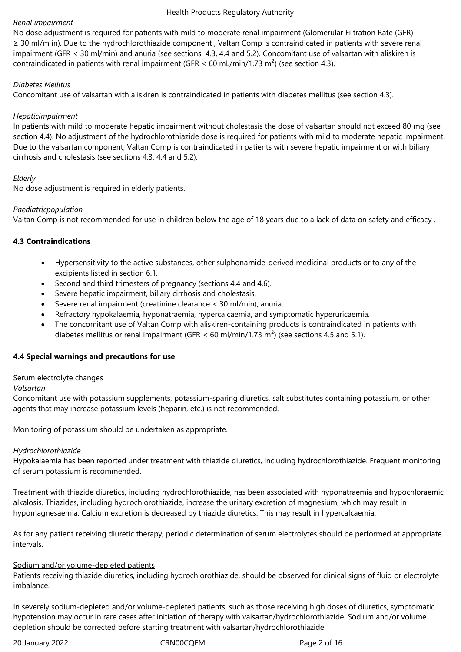### *Renal impairment*

No dose adjustment is required for patients with mild to moderate renal impairment (Glomerular Filtration Rate (GFR) ≥ 30 ml/m in). Due to the hydrochlorothiazide component , Valtan Comp is contraindicated in patients with severe renal impairment (GFR < 30 ml/min) and anuria (see sections 4.3, 4.4 and 5.2). Concomitant use of valsartan with aliskiren is contraindicated in patients with renal impairment (GFR < 60 mL/min/1.73 m<sup>2</sup>) (see section 4.3).

### *Diabetes Mellitus*

Concomitant use of valsartan with aliskiren is contraindicated in patients with diabetes mellitus (see section 4.3).

# *Hepaticimpairment*

In patients with mild to moderate hepatic impairment without cholestasis the dose of valsartan should not exceed 80 mg (see section 4.4). No adjustment of the hydrochlorothiazide dose is required for patients with mild to moderate hepatic impairment. Due to the valsartan component, Valtan Comp is contraindicated in patients with severe hepatic impairment or with biliary cirrhosis and cholestasis (see sections 4.3, 4.4 and 5.2).

# *Elderly*

No dose adjustment is required in elderly patients.

# *Paediatricpopulation*

Valtan Comp is not recommended for use in children below the age of 18 years due to a lack of data on safety and efficacy .

# **4.3 Contraindications**

- Hypersensitivity to the active substances, other sulphonamide-derived medicinal products or to any of the excipients listed in section 6.1.
- Second and third trimesters of pregnancy (sections 4.4 and 4.6).
- Severe hepatic impairment, biliary cirrhosis and cholestasis.
- Severe renal impairment (creatinine clearance < 30 ml/min), anuria.
- Refractory hypokalaemia, hyponatraemia, hypercalcaemia, and symptomatic hyperuricaemia.
- The concomitant use of Valtan Comp with aliskiren-containing products is contraindicated in patients with diabetes mellitus or renal impairment (GFR < 60 ml/min/1.73 m<sup>2</sup>) (see sections 4.5 and 5.1).

# **4.4 Special warnings and precautions for use**

### Serum electrolyte changes

### *Valsartan*

Concomitant use with potassium supplements, potassium-sparing diuretics, salt substitutes containing potassium, or other agents that may increase potassium levels (heparin, etc.) is not recommended.

Monitoring of potassium should be undertaken as appropriate.

### *Hydrochlorothiazide*

Hypokalaemia has been reported under treatment with thiazide diuretics, including hydrochlorothiazide. Frequent monitoring of serum potassium is recommended.

Treatment with thiazide diuretics, including hydrochlorothiazide, has been associated with hyponatraemia and hypochloraemic alkalosis. Thiazides, including hydrochlorothiazide, increase the urinary excretion of magnesium, which may result in hypomagnesaemia. Calcium excretion is decreased by thiazide diuretics. This may result in hypercalcaemia.

As for any patient receiving diuretic therapy, periodic determination of serum electrolytes should be performed at appropriate intervals.

# Sodium and/or volume-depleted patients

Patients receiving thiazide diuretics, including hydrochlorothiazide, should be observed for clinical signs of fluid or electrolyte imbalance.

In severely sodium-depleted and/or volume-depleted patients, such as those receiving high doses of diuretics, symptomatic hypotension may occur in rare cases after initiation of therapy with valsartan/hydrochlorothiazide. Sodium and/or volume depletion should be corrected before starting treatment with valsartan/hydrochlorothiazide.

20 January 2022 CRN00CQFM Page 2 of 16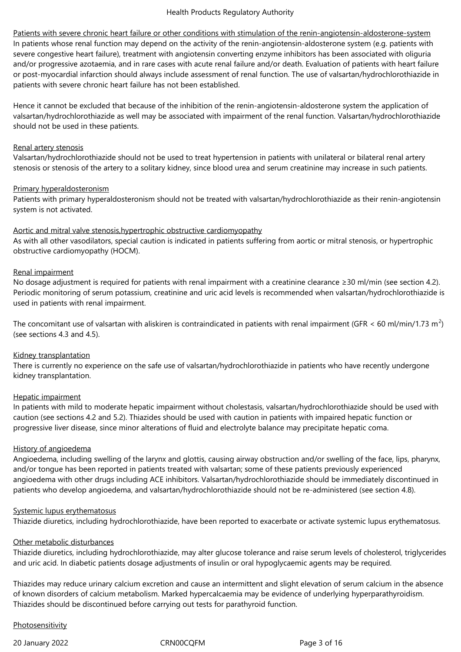Patients with severe chronic heart failure or other conditions with stimulation of the renin-angiotensin-aldosterone-system In patients whose renal function may depend on the activity of the renin-angiotensin-aldosterone system (e.g. patients with severe congestive heart failure), treatment with angiotensin converting enzyme inhibitors has been associated with oliguria and/or progressive azotaemia, and in rare cases with acute renal failure and/or death. Evaluation of patients with heart failure or post-myocardial infarction should always include assessment of renal function. The use of valsartan/hydrochlorothiazide in patients with severe chronic heart failure has not been established.

Hence it cannot be excluded that because of the inhibition of the renin-angiotensin-aldosterone system the application of valsartan/hydrochlorothiazide as well may be associated with impairment of the renal function. Valsartan/hydrochlorothiazide should not be used in these patients.

### Renal artery stenosis

Valsartan/hydrochlorothiazide should not be used to treat hypertension in patients with unilateral or bilateral renal artery stenosis or stenosis of the artery to a solitary kidney, since blood urea and serum creatinine may increase in such patients.

### Primary hyperaldosteronism

Patients with primary hyperaldosteronism should not be treated with valsartan/hydrochlorothiazide as their renin-angiotensin system is not activated.

### Aortic and mitral valve stenosis,hypertrophic obstructive cardiomyopathy

As with all other vasodilators, special caution is indicated in patients suffering from aortic or mitral stenosis, or hypertrophic obstructive cardiomyopathy (HOCM).

# Renal impairment

No dosage adjustment is required for patients with renal impairment with a creatinine clearance ≥30 ml/min (see section 4.2). Periodic monitoring of serum potassium, creatinine and uric acid levels is recommended when valsartan/hydrochlorothiazide is used in patients with renal impairment.

The concomitant use of valsartan with aliskiren is contraindicated in patients with renal impairment (GFR < 60 ml/min/1.73 m<sup>2</sup>) (see sections 4.3 and 4.5).

### Kidney transplantation

There is currently no experience on the safe use of valsartan/hydrochlorothiazide in patients who have recently undergone kidney transplantation.

### Hepatic impairment

In patients with mild to moderate hepatic impairment without cholestasis, valsartan/hydrochlorothiazide should be used with caution (see sections 4.2 and 5.2). Thiazides should be used with caution in patients with impaired hepatic function or progressive liver disease, since minor alterations of fluid and electrolyte balance may precipitate hepatic coma.

### History of angioedema

Angioedema, including swelling of the larynx and glottis, causing airway obstruction and/or swelling of the face, lips, pharynx, and/or tongue has been reported in patients treated with valsartan; some of these patients previously experienced angioedema with other drugs including ACE inhibitors. Valsartan/hydrochlorothiazide should be immediately discontinued in patients who develop angioedema, and valsartan/hydrochlorothiazide should not be re-administered (see section 4.8).

### Systemic lupus erythematosus

Thiazide diuretics, including hydrochlorothiazide, have been reported to exacerbate or activate systemic lupus erythematosus.

### Other metabolic disturbances

Thiazide diuretics, including hydrochlorothiazide, may alter glucose tolerance and raise serum levels of cholesterol, triglycerides and uric acid. In diabetic patients dosage adjustments of insulin or oral hypoglycaemic agents may be required.

Thiazides may reduce urinary calcium excretion and cause an intermittent and slight elevation of serum calcium in the absence of known disorders of calcium metabolism. Marked hypercalcaemia may be evidence of underlying hyperparathyroidism. Thiazides should be discontinued before carrying out tests for parathyroid function.

### Photosensitivity

20 January 2022 CRN00CQFM Page 3 of 16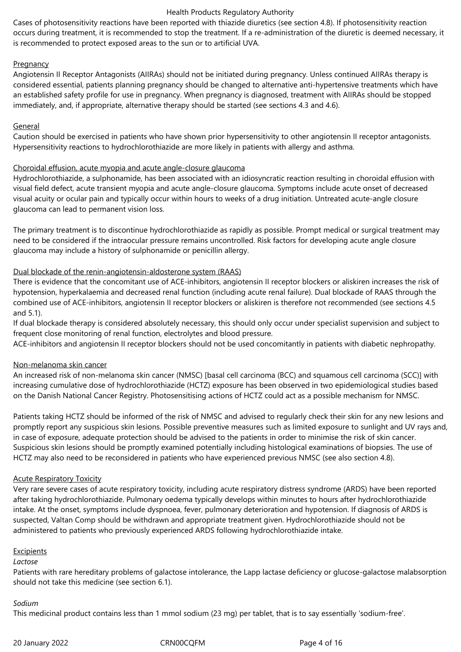Cases of photosensitivity reactions have been reported with thiazide diuretics (see section 4.8). If photosensitivity reaction occurs during treatment, it is recommended to stop the treatment. If a re-administration of the diuretic is deemed necessary, it is recommended to protect exposed areas to the sun or to artificial UVA.

# Pregnancy

Angiotensin II Receptor Antagonists (AIIRAs) should not be initiated during pregnancy. Unless continued AIIRAs therapy is considered essential, patients planning pregnancy should be changed to alternative anti-hypertensive treatments which have an established safety profile for use in pregnancy. When pregnancy is diagnosed, treatment with AIIRAs should be stopped immediately, and, if appropriate, alternative therapy should be started (see sections 4.3 and 4.6).

### General

Caution should be exercised in patients who have shown prior hypersensitivity to other angiotensin II receptor antagonists. Hypersensitivity reactions to hydrochlorothiazide are more likely in patients with allergy and asthma.

# Choroidal effusion, acute myopia and acute angle-closure glaucoma

Hydrochlorothiazide, a sulphonamide, has been associated with an idiosyncratic reaction resulting in choroidal effusion with visual field defect, acute transient myopia and acute angle-closure glaucoma. Symptoms include acute onset of decreased visual acuity or ocular pain and typically occur within hours to weeks of a drug initiation. Untreated acute-angle closure glaucoma can lead to permanent vision loss.

The primary treatment is to discontinue hydrochlorothiazide as rapidly as possible. Prompt medical or surgical treatment may need to be considered if the intraocular pressure remains uncontrolled. Risk factors for developing acute angle closure glaucoma may include a history of sulphonamide or penicillin allergy.

# Dual blockade of the renin-angiotensin-aldosterone system (RAAS)

There is evidence that the concomitant use of ACE-inhibitors, angiotensin II receptor blockers or aliskiren increases the risk of hypotension, hyperkalaemia and decreased renal function (including acute renal failure). Dual blockade of RAAS through the combined use of ACE-inhibitors, angiotensin II receptor blockers or aliskiren is therefore not recommended (see sections 4.5 and 5.1).

If dual blockade therapy is considered absolutely necessary, this should only occur under specialist supervision and subject to frequent close monitoring of renal function, electrolytes and blood pressure.

ACE-inhibitors and angiotensin II receptor blockers should not be used concomitantly in patients with diabetic nephropathy.

### Non-melanoma skin cancer

An increased risk of non-melanoma skin cancer (NMSC) [basal cell carcinoma (BCC) and squamous cell carcinoma (SCC)] with increasing cumulative dose of hydrochlorothiazide (HCTZ) exposure has been observed in two epidemiological studies based on the Danish National Cancer Registry. Photosensitising actions of HCTZ could act as a possible mechanism for NMSC.

Patients taking HCTZ should be informed of the risk of NMSC and advised to regularly check their skin for any new lesions and promptly report any suspicious skin lesions. Possible preventive measures such as limited exposure to sunlight and UV rays and, in case of exposure, adequate protection should be advised to the patients in order to minimise the risk of skin cancer. Suspicious skin lesions should be promptly examined potentially including histological examinations of biopsies. The use of HCTZ may also need to be reconsidered in patients who have experienced previous NMSC (see also section 4.8).

### Acute Respiratory Toxicity

Very rare severe cases of acute respiratory toxicity, including acute respiratory distress syndrome (ARDS) have been reported after taking hydrochlorothiazide. Pulmonary oedema typically develops within minutes to hours after hydrochlorothiazide intake. At the onset, symptoms include dyspnoea, fever, pulmonary deterioration and hypotension. If diagnosis of ARDS is suspected, Valtan Comp should be withdrawn and appropriate treatment given. Hydrochlorothiazide should not be administered to patients who previously experienced ARDS following hydrochlorothiazide intake.

### **Excipients**

*Lactose*

Patients with rare hereditary problems of galactose intolerance, the Lapp lactase deficiency or glucose-galactose malabsorption should not take this medicine (see section 6.1).

### *Sodium*

This medicinal product contains less than 1 mmol sodium (23 mg) per tablet, that is to say essentially 'sodium-free'.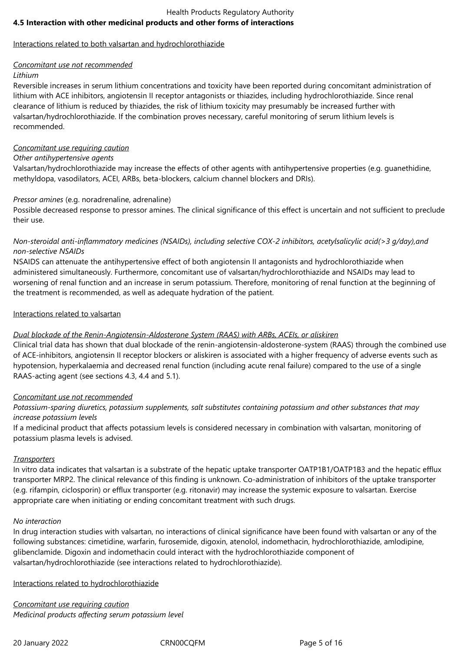# Health Products Regulatory Authority **4.5 Interaction with other medicinal products and other forms of interactions**

# Interactions related to both valsartan and hydrochlorothiazide

# *Concomitant use not recommended*

# *Lithium*

Reversible increases in serum lithium concentrations and toxicity have been reported during concomitant administration of lithium with ACE inhibitors, angiotensin II receptor antagonists or thiazides, including hydrochlorothiazide. Since renal clearance of lithium is reduced by thiazides, the risk of lithium toxicity may presumably be increased further with valsartan/hydrochlorothiazide. If the combination proves necessary, careful monitoring of serum lithium levels is recommended.

# *Concomitant use requiring caution*

# *Other antihypertensive agents*

Valsartan/hydrochlorothiazide may increase the effects of other agents with antihypertensive properties (e.g. guanethidine, methyldopa, vasodilators, ACEI, ARBs, beta-blockers, calcium channel blockers and DRIs).

# *Pressor amines* (e.g. noradrenaline, adrenaline)

Possible decreased response to pressor amines. The clinical significance of this effect is uncertain and not sufficient to preclude their use.

# *Non-steroidal anti-inflammatory medicines (NSAIDs), including selective COX-2 inhibitors, acetylsalicylic acid(>3 g/day),and non-selective NSAIDs*

NSAIDS can attenuate the antihypertensive effect of both angiotensin II antagonists and hydrochlorothiazide when administered simultaneously. Furthermore, concomitant use of valsartan/hydrochlorothiazide and NSAIDs may lead to worsening of renal function and an increase in serum potassium. Therefore, monitoring of renal function at the beginning of the treatment is recommended, as well as adequate hydration of the patient.

# Interactions related to valsartan

# *Dual blockade of the Renin-Angiotensin-Aldosterone System (RAAS) with ARBs, ACEIs, or aliskiren*

Clinical trial data has shown that dual blockade of the renin-angiotensin-aldosterone-system (RAAS) through the combined use of ACE-inhibitors, angiotensin II receptor blockers or aliskiren is associated with a higher frequency of adverse events such as hypotension, hyperkalaemia and decreased renal function (including acute renal failure) compared to the use of a single RAAS-acting agent (see sections 4.3, 4.4 and 5.1).

# *Concomitant use not recommended*

*Potassium-sparing diuretics, potassium supplements, salt substitutes containing potassium and other substances that may increase potassium levels*

If a medicinal product that affects potassium levels is considered necessary in combination with valsartan, monitoring of potassium plasma levels is advised.

# *Transporters*

In vitro data indicates that valsartan is a substrate of the hepatic uptake transporter OATP1B1/OATP1B3 and the hepatic efflux transporter MRP2. The clinical relevance of this finding is unknown. Co-administration of inhibitors of the uptake transporter (e.g. rifampin, ciclosporin) or efflux transporter (e.g. ritonavir) may increase the systemic exposure to valsartan. Exercise appropriate care when initiating or ending concomitant treatment with such drugs.

### *No interaction*

In drug interaction studies with valsartan, no interactions of clinical significance have been found with valsartan or any of the following substances: cimetidine, warfarin, furosemide, digoxin, atenolol, indomethacin, hydrochlorothiazide, amlodipine, glibenclamide. Digoxin and indomethacin could interact with the hydrochlorothiazide component of valsartan/hydrochlorothiazide (see interactions related to hydrochlorothiazide).

Interactions related to hydrochlorothiazide

*Concomitant use requiring caution Medicinal products affecting serum potassium level*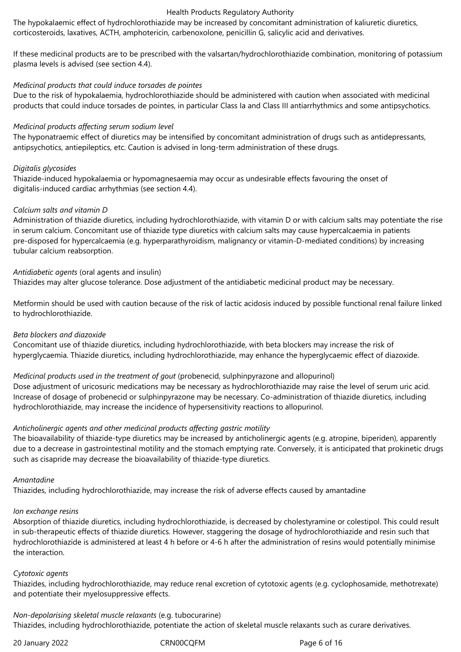The hypokalaemic effect of hydrochlorothiazide may be increased by concomitant administration of kaliuretic diuretics, corticosteroids, laxatives, ACTH, amphotericin, carbenoxolone, penicillin G, salicylic acid and derivatives.

If these medicinal products are to be prescribed with the valsartan/hydrochlorothiazide combination, monitoring of potassium plasma levels is advised (see section 4.4).

### *Medicinal products that could induce torsades de pointes*

Due to the risk of hypokalaemia, hydrochlorothiazide should be administered with caution when associated with medicinal products that could induce torsades de pointes, in particular Class Ia and Class III antiarrhythmics and some antipsychotics.

### *Medicinal products affecting serum sodium level*

The hyponatraemic effect of diuretics may be intensified by concomitant administration of drugs such as antidepressants, antipsychotics, antiepileptics, etc. Caution is advised in long-term administration of these drugs.

### *Digitalis glycosides*

Thiazide-induced hypokalaemia or hypomagnesaemia may occur as undesirable effects favouring the onset of digitalis-induced cardiac arrhythmias (see section 4.4).

### *Calcium salts and vitamin D*

Administration of thiazide diuretics, including hydrochlorothiazide, with vitamin D or with calcium salts may potentiate the rise in serum calcium. Concomitant use of thiazide type diuretics with calcium salts may cause hypercalcaemia in patients pre-disposed for hypercalcaemia (e.g. hyperparathyroidism, malignancy or vitamin-D-mediated conditions) by increasing tubular calcium reabsorption.

### *Antidiabetic agents* (oral agents and insulin)

Thiazides may alter glucose tolerance. Dose adjustment of the antidiabetic medicinal product may be necessary.

Metformin should be used with caution because of the risk of lactic acidosis induced by possible functional renal failure linked to hydrochlorothiazide.

### *Beta blockers and diazoxide*

Concomitant use of thiazide diuretics, including hydrochlorothiazide, with beta blockers may increase the risk of hyperglycaemia. Thiazide diuretics, including hydrochlorothiazide, may enhance the hyperglycaemic effect of diazoxide.

# *Medicinal products used in the treatment of gout* (probenecid, sulphinpyrazone and allopurinol)

Dose adjustment of uricosuric medications may be necessary as hydrochlorothiazide may raise the level of serum uric acid. Increase of dosage of probenecid or sulphinpyrazone may be necessary. Co-administration of thiazide diuretics, including hydrochlorothiazide, may increase the incidence of hypersensitivity reactions to allopurinol.

### *Anticholinergic agents and other medicinal products affecting gastric motility*

The bioavailability of thiazide-type diuretics may be increased by anticholinergic agents (e.g. atropine, biperiden), apparently due to a decrease in gastrointestinal motility and the stomach emptying rate. Conversely, it is anticipated that prokinetic drugs such as cisapride may decrease the bioavailability of thiazide-type diuretics.

#### *Amantadine*

Thiazides, including hydrochlorothiazide, may increase the risk of adverse effects caused by amantadine

### *Ion exchange resins*

Absorption of thiazide diuretics, including hydrochlorothiazide, is decreased by cholestyramine or colestipol. This could result in sub-therapeutic effects of thiazide diuretics. However, staggering the dosage of hydrochlorothiazide and resin such that hydrochlorothiazide is administered at least 4 h before or 4-6 h after the administration of resins would potentially minimise the interaction.

#### *Cytotoxic agents*

Thiazides, including hydrochlorothiazide, may reduce renal excretion of cytotoxic agents (e.g. cyclophosamide, methotrexate) and potentiate their myelosuppressive effects.

*Non-depolarising skeletal muscle relaxants* (e.g. tubocurarine) Thiazides, including hydrochlorothiazide, potentiate the action of skeletal muscle relaxants such as curare derivatives.

20 January 2022 CRN00CQFM Page 6 of 16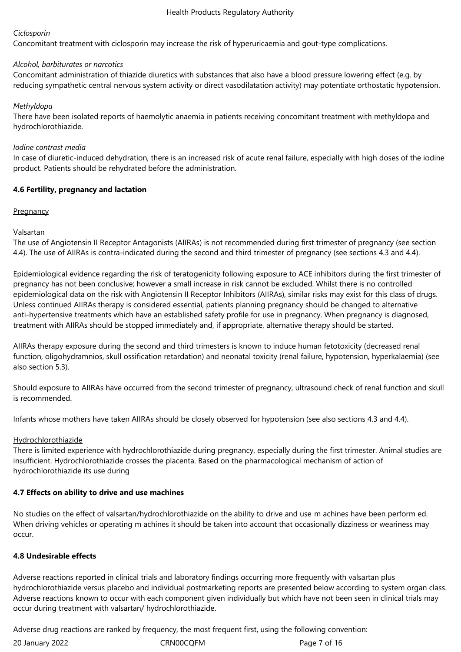# *Ciclosporin*

Concomitant treatment with ciclosporin may increase the risk of hyperuricaemia and gout-type complications.

# *Alcohol, barbiturates or narcotics*

Concomitant administration of thiazide diuretics with substances that also have a blood pressure lowering effect (e.g. by reducing sympathetic central nervous system activity or direct vasodilatation activity) may potentiate orthostatic hypotension.

# *Methyldopa*

There have been isolated reports of haemolytic anaemia in patients receiving concomitant treatment with methyldopa and hydrochlorothiazide.

### *Iodine contrast media*

In case of diuretic-induced dehydration, there is an increased risk of acute renal failure, especially with high doses of the iodine product. Patients should be rehydrated before the administration.

# **4.6 Fertility, pregnancy and lactation**

# **Pregnancy**

# Valsartan

The use of Angiotensin II Receptor Antagonists (AIIRAs) is not recommended during first trimester of pregnancy (see section 4.4). The use of AIIRAs is contra-indicated during the second and third trimester of pregnancy (see sections 4.3 and 4.4).

Epidemiological evidence regarding the risk of teratogenicity following exposure to ACE inhibitors during the first trimester of pregnancy has not been conclusive; however a small increase in risk cannot be excluded. Whilst there is no controlled epidemiological data on the risk with Angiotensin II Receptor Inhibitors (AIIRAs), similar risks may exist for this class of drugs. Unless continued AIIRAs therapy is considered essential, patients planning pregnancy should be changed to alternative anti-hypertensive treatments which have an established safety profile for use in pregnancy. When pregnancy is diagnosed, treatment with AIIRAs should be stopped immediately and, if appropriate, alternative therapy should be started.

AIIRAs therapy exposure during the second and third trimesters is known to induce human fetotoxicity (decreased renal function, oligohydramnios, skull ossification retardation) and neonatal toxicity (renal failure, hypotension, hyperkalaemia) (see also section 5.3).

Should exposure to AIIRAs have occurred from the second trimester of pregnancy, ultrasound check of renal function and skull is recommended.

Infants whose mothers have taken AIIRAs should be closely observed for hypotension (see also sections 4.3 and 4.4).

# Hydrochlorothiazide

There is limited experience with hydrochlorothiazide during pregnancy, especially during the first trimester. Animal studies are insufficient. Hydrochlorothiazide crosses the placenta. Based on the pharmacological mechanism of action of hydrochlorothiazide its use during

# **4.7 Effects on ability to drive and use machines**

No studies on the effect of valsartan/hydrochlorothiazide on the ability to drive and use m achines have been perform ed. When driving vehicles or operating m achines it should be taken into account that occasionally dizziness or weariness may occur.

# **4.8 Undesirable effects**

Adverse reactions reported in clinical trials and laboratory findings occurring more frequently with valsartan plus hydrochlorothiazide versus placebo and individual postmarketing reports are presented below according to system organ class. Adverse reactions known to occur with each component given individually but which have not been seen in clinical trials may occur during treatment with valsartan/ hydrochlorothiazide.

Adverse drug reactions are ranked by frequency, the most frequent first, using the following convention:

20 January 2022 CRN00CQFM Page 7 of 16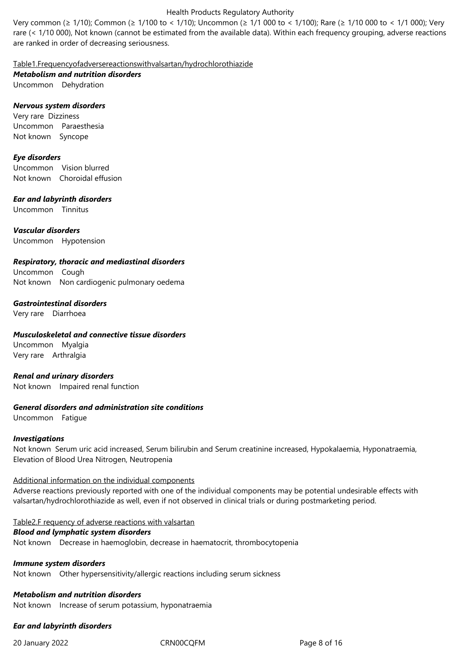Very common (≥ 1/10); Common (≥ 1/100 to < 1/10); Uncommon (≥ 1/1 000 to < 1/100); Rare (≥ 1/10 000 to *<* 1/1 000); Very rare (< 1/10 000), Not known (cannot be estimated from the available data). Within each frequency grouping, adverse reactions are ranked in order of decreasing seriousness.

Table1.Frequencyofadversereactionswithvalsartan/hydrochlorothiazide

*Metabolism and nutrition disorders*

Uncommon Dehydration

# *Nervous system disorders*

Very rare Dizziness Uncommon Paraesthesia Not known Syncope

### *Eye disorders*

Uncommon Vision blurred Not known Choroidal effusion

# *Ear and labyrinth disorders*

Uncommon Tinnitus

*Vascular disorders* Uncommon Hypotension

# *Respiratory, thoracic and mediastinal disorders*

Uncommon Cough Not known Non cardiogenic pulmonary oedema

### *Gastrointestinal disorders*

Very rare Diarrhoea

# *Musculoskeletal and connective tissue disorders*

Uncommon Myalgia Very rare Arthralgia

# *Renal and urinary disorders*

Not known Impaired renal function

### *General disorders and administration site conditions*

Uncommon Fatigue

### *Investigations*

Not known Serum uric acid increased, Serum bilirubin and Serum creatinine increased, Hypokalaemia, Hyponatraemia, Elevation of Blood Urea Nitrogen, Neutropenia

### Additional information on the individual components

Adverse reactions previously reported with one of the individual components may be potential undesirable effects with valsartan/hydrochlorothiazide as well, even if not observed in clinical trials or during postmarketing period.

### Table2.F requency of adverse reactions with valsartan

# *Blood and lymphatic system disorders*

Not known Decrease in haemoglobin, decrease in haematocrit, thrombocytopenia

# *Immune system disorders*

Not known Other hypersensitivity/allergic reactions including serum sickness

# *Metabolism and nutrition disorders*

Not known Increase of serum potassium, hyponatraemia

# *Ear and labyrinth disorders*

20 January 2022 CRN00CQFM Page 8 of 16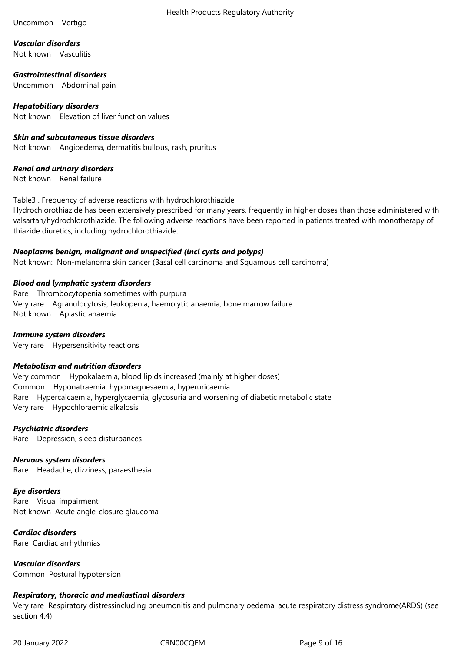### Uncommon Vertigo

*Vascular disorders* Not known Vasculitis

*Gastrointestinal disorders* Uncommon Abdominal pain

*Hepatobiliary disorders* Not known Elevation of liver function values

# *Skin and subcutaneous tissue disorders*

Not known Angioedema, dermatitis bullous, rash, pruritus

# *Renal and urinary disorders*

Not known Renal failure

### Table3 . Frequency of adverse reactions with hydrochlorothiazide

Hydrochlorothiazide has been extensively prescribed for many years, frequently in higher doses than those administered with valsartan/hydrochlorothiazide. The following adverse reactions have been reported in patients treated with monotherapy of thiazide diuretics, including hydrochlorothiazide:

# *Neoplasms benign, malignant and unspecified (incl cysts and polyps)*

Not known: Non-melanoma skin cancer (Basal cell carcinoma and Squamous cell carcinoma)

### *Blood and lymphatic system disorders*

Rare Thrombocytopenia sometimes with purpura Very rare Agranulocytosis, leukopenia, haemolytic anaemia, bone marrow failure Not known Aplastic anaemia

### *Immune system disorders*

Very rare Hypersensitivity reactions

### *Metabolism and nutrition disorders*

Very common Hypokalaemia, blood lipids increased (mainly at higher doses) Common Hyponatraemia, hypomagnesaemia, hyperuricaemia Rare Hypercalcaemia, hyperglycaemia, glycosuria and worsening of diabetic metabolic state Very rare Hypochloraemic alkalosis

### *Psychiatric disorders*

Rare Depression, sleep disturbances

# *Nervous system disorders*

Rare Headache, dizziness, paraesthesia

### *Eye disorders*

Rare Visual impairment Not known Acute angle-closure glaucoma

*Cardiac disorders* Rare Cardiac arrhythmias

*Vascular disorders* Common Postural hypotension

# *Respiratory, thoracic and mediastinal disorders*

Very rare Respiratory distressincluding pneumonitis and pulmonary oedema, acute respiratory distress syndrome(ARDS) (see section 4.4)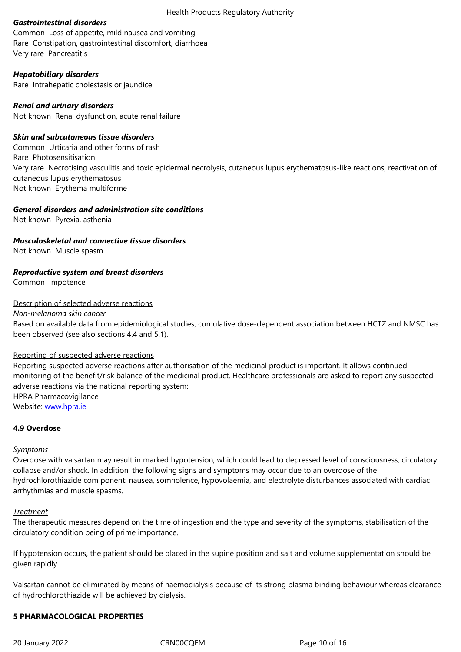Rare Constipation, gastrointestinal discomfort, diarrhoea Very rare Pancreatitis

# *Hepatobiliary disorders*

Rare Intrahepatic cholestasis or jaundice

# *Renal and urinary disorders*

Not known Renal dysfunction, acute renal failure

# *Skin and subcutaneous tissue disorders*

Common Urticaria and other forms of rash Rare Photosensitisation Very rare Necrotising vasculitis and toxic epidermal necrolysis, cutaneous lupus erythematosus-like reactions, reactivation of cutaneous lupus erythematosus Not known Erythema multiforme

# *General disorders and administration site conditions*

Not knownPyrexia, asthenia

# *Musculoskeletal and connective tissue disorders*

Not known Muscle spasm

# *Reproductive system and breast disorders*

Common Impotence

# Description of selected adverse reactions

*Non-melanoma skin cancer*

Based on available data from epidemiological studies, cumulative dose-dependent association between HCTZ and NMSC has been observed (see also sections 4.4 and 5.1).

### Reporting of suspected adverse reactions

Reporting suspected adverse reactions after authorisation of the medicinal product is important. It allows continued monitoring of the benefit/risk balance of the medicinal product. Healthcare professionals are asked to report any suspected adverse reactions via the national reporting system: HPRA Pharmacovigilance Website: www.hpra.ie

### **4.9 Overdose**

### *Sympto[ms](http://www.hpra.ie/)*

Overdose with valsartan may result in marked hypotension, which could lead to depressed level of consciousness, circulatory collapse and/or shock. In addition, the following signs and symptoms may occur due to an overdose of the hydrochlorothiazide com ponent: nausea, somnolence, hypovolaemia, and electrolyte disturbances associated with cardiac arrhythmias and muscle spasms.

### *Treatment*

The therapeutic measures depend on the time of ingestion and the type and severity of the symptoms, stabilisation of the circulatory condition being of prime importance.

If hypotension occurs, the patient should be placed in the supine position and salt and volume supplementation should be given rapidly .

Valsartan cannot be eliminated by means of haemodialysis because of its strong plasma binding behaviour whereas clearance of hydrochlorothiazide will be achieved by dialysis.

# **5 PHARMACOLOGICAL PROPERTIES**

20 January 2022 CRN00CQFM Page 10 of 16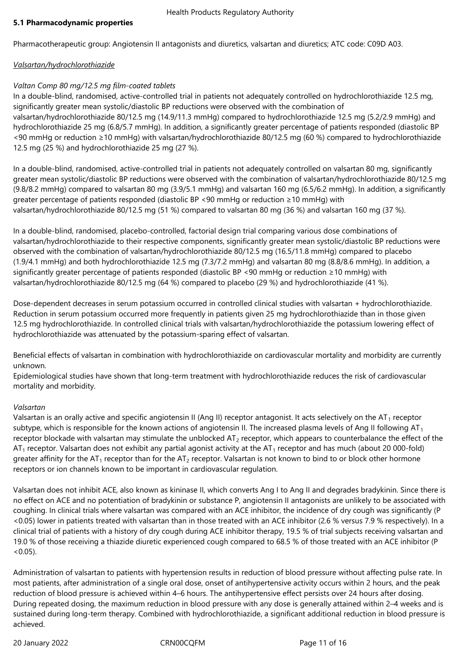# **5.1 Pharmacodynamic properties**

Pharmacotherapeutic group: Angiotensin II antagonists and diuretics, valsartan and diuretics; ATC code: C09D A03.

# *Valsartan/hydrochlorothiazide*

# *Valtan Comp 80 mg/12.5 mg film-coated tablets*

In a double-blind, randomised, active-controlled trial in patients not adequately controlled on hydrochlorothiazide 12.5 mg, significantly greater mean systolic/diastolic BP reductions were observed with the combination of valsartan/hydrochlorothiazide 80/12.5 mg (14.9/11.3 mmHg) compared to hydrochlorothiazide 12.5 mg (5.2/2.9 mmHg) and hydrochlorothiazide 25 mg (6.8/5.7 mmHg). In addition, a significantly greater percentage of patients responded (diastolic BP <90 mmHg or reduction ≥10 mmHg) with valsartan/hydrochlorothiazide 80/12.5 mg (60 %) compared to hydrochlorothiazide

12.5 mg (25 %) and hydrochlorothiazide 25 mg (27 %).

In a double-blind, randomised, active-controlled trial in patients not adequately controlled on valsartan 80 mg, significantly greater mean systolic/diastolic BP reductions were observed with the combination of valsartan/hydrochlorothiazide 80/12.5 mg (9.8/8.2 mmHg) compared to valsartan 80 mg (3.9/5.1 mmHg) and valsartan 160 mg (6.5/6.2 mmHg). In addition, a significantly greater percentage of patients responded (diastolic BP <90 mmHg or reduction ≥10 mmHg) with valsartan/hydrochlorothiazide 80/12.5 mg (51 %) compared to valsartan 80 mg (36 %) and valsartan 160 mg (37 %).

In a double-blind, randomised, placebo-controlled, factorial design trial comparing various dose combinations of valsartan/hydrochlorothiazide to their respective components, significantly greater mean systolic/diastolic BP reductions were observed with the combination of valsartan/hydrochlorothiazide 80/12.5 mg (16.5/11.8 mmHg) compared to placebo (1.9/4.1 mmHg) and both hydrochlorothiazide 12.5 mg (7.3/7.2 mmHg) and valsartan 80 mg (8.8/8.6 mmHg). In addition, a significantly greater percentage of patients responded (diastolic BP <90 mmHg or reduction ≥10 mmHg) with valsartan/hydrochlorothiazide 80/12.5 mg (64 %) compared to placebo (29 %) and hydrochlorothiazide (41 %).

Dose-dependent decreases in serum potassium occurred in controlled clinical studies with valsartan + hydrochlorothiazide. Reduction in serum potassium occurred more frequently in patients given 25 mg hydrochlorothiazide than in those given 12.5 mg hydrochlorothiazide. In controlled clinical trials with valsartan/hydrochlorothiazide the potassium lowering effect of hydrochlorothiazide was attenuated by the potassium-sparing effect of valsartan.

Beneficial effects of valsartan in combination with hydrochlorothiazide on cardiovascular mortality and morbidity are currently unknown.

Epidemiological studies have shown that long-term treatment with hydrochlorothiazide reduces the risk of cardiovascular mortality and morbidity.

# *Valsartan*

Valsartan is an orally active and specific angiotensin II (Ang II) receptor antagonist. It acts selectively on the  $AT_1$  receptor subtype, which is responsible for the known actions of angiotensin II. The increased plasma levels of Ang II following  $AT_1$ receptor blockade with valsartan may stimulate the unblocked  $AT_2$  receptor, which appears to counterbalance the effect of the  $AT<sub>1</sub>$  receptor. Valsartan does not exhibit any partial agonist activity at the AT<sub>1</sub> receptor and has much (about 20 000-fold) greater affinity for the AT<sub>1</sub> receptor than for the AT<sub>2</sub> receptor. Valsartan is not known to bind to or block other hormone receptors or ion channels known to be important in cardiovascular regulation.

Valsartan does not inhibit ACE, also known as kininase II, which converts Ang I to Ang II and degrades bradykinin. Since there is no effect on ACE and no potentiation of bradykinin or substance P, angiotensin II antagonists are unlikely to be associated with coughing. In clinical trials where valsartan was compared with an ACE inhibitor, the incidence of dry cough was significantly (P <0.05) lower in patients treated with valsartan than in those treated with an ACE inhibitor (2.6 % versus 7.9 % respectively). In a clinical trial of patients with a history of dry cough during ACE inhibitor therapy, 19.5 % of trial subjects receiving valsartan and 19.0 % of those receiving a thiazide diuretic experienced cough compared to 68.5 % of those treated with an ACE inhibitor (P  $< 0.05$ ).

Administration of valsartan to patients with hypertension results in reduction of blood pressure without affecting pulse rate. In most patients, after administration of a single oral dose, onset of antihypertensive activity occurs within 2 hours, and the peak reduction of blood pressure is achieved within 4–6 hours. The antihypertensive effect persists over 24 hours after dosing. During repeated dosing, the maximum reduction in blood pressure with any dose is generally attained within 2–4 weeks and is sustained during long-term therapy. Combined with hydrochlorothiazide, a significant additional reduction in blood pressure is achieved.

20 January 2022 CRN00CQFM Page 11 of 16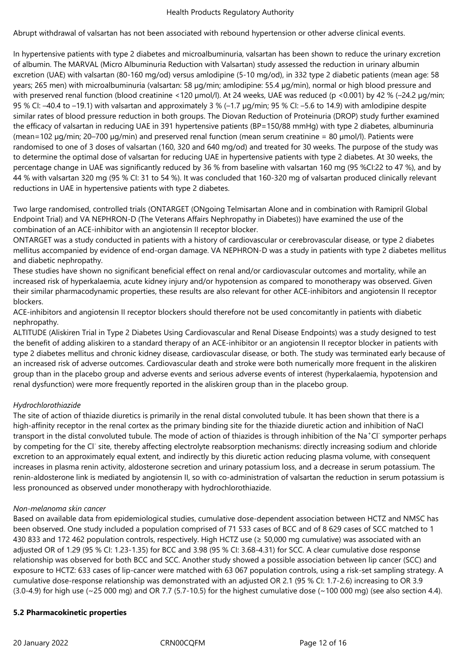Abrupt withdrawal of valsartan has not been associated with rebound hypertension or other adverse clinical events.

In hypertensive patients with type 2 diabetes and microalbuminuria, valsartan has been shown to reduce the urinary excretion of albumin. The MARVAL (Micro Albuminuria Reduction with Valsartan) study assessed the reduction in urinary albumin excretion (UAE) with valsartan (80-160 mg/od) versus amlodipine (5-10 mg/od), in 332 type 2 diabetic patients (mean age: 58 years; 265 men) with microalbuminuria (valsartan: 58 µg/min; amlodipine: 55.4 µg/min), normal or high blood pressure and with preserved renal function (blood creatinine <120 µmol/l). At 24 weeks, UAE was reduced (p <0.001) by 42 % (-24.2 µg/min; 95 % CI: –40.4 to –19.1) with valsartan and approximately 3 % (–1.7 µg/min; 95 % CI: –5.6 to 14.9) with amlodipine despite similar rates of blood pressure reduction in both groups. The Diovan Reduction of Proteinuria (DROP) study further examined the efficacy of valsartan in reducing UAE in 391 hypertensive patients (BP=150/88 mmHg) with type 2 diabetes, albuminuria (mean=102 µg/min; 20–700 µg/min) and preserved renal function (mean serum creatinine = 80 µmol/l). Patients were randomised to one of 3 doses of valsartan (160, 320 and 640 mg/od) and treated for 30 weeks. The purpose of the study was to determine the optimal dose of valsartan for reducing UAE in hypertensive patients with type 2 diabetes. At 30 weeks, the percentage change in UAE was significantly reduced by 36 % from baseline with valsartan 160 mg (95 %CI:22 to 47 %), and by 44 % with valsartan 320 mg (95 % CI: 31 to 54 %). It was concluded that 160-320 mg of valsartan produced clinically relevant reductions in UAE in hypertensive patients with type 2 diabetes.

Two large randomised, controlled trials (ONTARGET (ONgoing Telmisartan Alone and in combination with Ramipril Global Endpoint Trial) and VA NEPHRON-D (The Veterans Affairs Nephropathy in Diabetes)) have examined the use of the combination of an ACE-inhibitor with an angiotensin II receptor blocker.

ONTARGET was a study conducted in patients with a history of cardiovascular or cerebrovascular disease, or type 2 diabetes mellitus accompanied by evidence of end-organ damage. VA NEPHRON-D was a study in patients with type 2 diabetes mellitus and diabetic nephropathy.

These studies have shown no significant beneficial effect on renal and/or cardiovascular outcomes and mortality, while an increased risk of hyperkalaemia, acute kidney injury and/or hypotension as compared to monotherapy was observed. Given their similar pharmacodynamic properties, these results are also relevant for other ACE-inhibitors and angiotensin II receptor blockers.

ACE-inhibitors and angiotensin II receptor blockers should therefore not be used concomitantly in patients with diabetic nephropathy.

ALTITUDE (Aliskiren Trial in Type 2 Diabetes Using Cardiovascular and Renal Disease Endpoints) was a study designed to test the benefit of adding aliskiren to a standard therapy of an ACE-inhibitor or an angiotensin II receptor blocker in patients with type 2 diabetes mellitus and chronic kidney disease, cardiovascular disease, or both. The study was terminated early because of an increased risk of adverse outcomes. Cardiovascular death and stroke were both numerically more frequent in the aliskiren group than in the placebo group and adverse events and serious adverse events of interest (hyperkalaemia, hypotension and renal dysfunction) were more frequently reported in the aliskiren group than in the placebo group.

# *Hydrochlorothiazide*

The site of action of thiazide diuretics is primarily in the renal distal convoluted tubule. It has been shown that there is a high-affinity receptor in the renal cortex as the primary binding site for the thiazide diuretic action and inhibition of NaCl transport in the distal convoluted tubule. The mode of action of thiazides is through inhibition of the Na<sup>+</sup>Cl<sup>-</sup> symporter perhaps by competing for the Cl<sup>-</sup> site, thereby affecting electrolyte reabsorption mechanisms: directly increasing sodium and chloride excretion to an approximately equal extent, and indirectly by this diuretic action reducing plasma volume, with consequent increases in plasma renin activity, aldosterone secretion and urinary potassium loss, and a decrease in serum potassium. The renin-aldosterone link is mediated by angiotensin II, so with co-administration of valsartan the reduction in serum potassium is less pronounced as observed under monotherapy with hydrochlorothiazide.

### *Non-melanoma skin cancer*

Based on available data from epidemiological studies, cumulative dose-dependent association between HCTZ and NMSC has been observed. One study included a population comprised of 71 533 cases of BCC and of 8 629 cases of SCC matched to 1 430 833 and 172 462 population controls, respectively. High HCTZ use (≥ 50,000 mg cumulative) was associated with an adjusted OR of 1.29 (95 % CI: 1.23-1.35) for BCC and 3.98 (95 % CI: 3.68-4.31) for SCC. A clear cumulative dose response relationship was observed for both BCC and SCC. Another study showed a possible association between lip cancer (SCC) and exposure to HCTZ: 633 cases of lip-cancer were matched with 63 067 population controls, using a risk-set sampling strategy. A cumulative dose-response relationship was demonstrated with an adjusted OR 2.1 (95 % CI: 1.7-2.6) increasing to OR 3.9  $(3.0-4.9)$  for high use  $(\sim 25 000 \text{ mg})$  and OR 7.7 (5.7-10.5) for the highest cumulative dose  $(\sim 100 000 \text{ mg})$  (see also section 4.4).

### **5.2 Pharmacokinetic properties**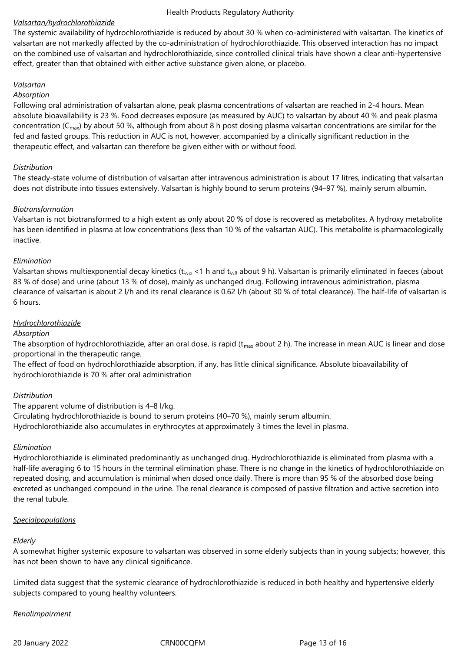# *Valsartan/hydrochlorothiazide*

The systemic availability of hydrochlorothiazide is reduced by about 30 % when co-administered with valsartan. The kinetics of valsartan are not markedly affected by the co-administration of hydrochlorothiazide. This observed interaction has no impact on the combined use of valsartan and hydrochlorothiazide, since controlled clinical trials have shown a clear anti-hypertensive effect, greater than that obtained with either active substance given alone, or placebo.

# *Valsartan*

### *Absorption*

Following oral administration of valsartan alone, peak plasma concentrations of valsartan are reached in 2-4 hours. Mean absolute bioavailability is 23 %. Food decreases exposure (as measured by AUC) to valsartan by about 40 % and peak plasma concentration ( $C_{\text{max}}$ ) by about 50 %, although from about 8 h post dosing plasma valsartan concentrations are similar for the fed and fasted groups. This reduction in AUC is not, however, accompanied by a clinically significant reduction in the therapeutic effect, and valsartan can therefore be given either with or without food.

# *Distribution*

The steady-state volume of distribution of valsartan after intravenous administration is about 17 litres, indicating that valsartan does not distribute into tissues extensively. Valsartan is highly bound to serum proteins (94–97 %), mainly serum albumin.

# *Biotransformation*

Valsartan is not biotransformed to a high extent as only about 20 % of dose is recovered as metabolites. A hydroxy metabolite has been identified in plasma at low concentrations (less than 10 % of the valsartan AUC). This metabolite is pharmacologically inactive.

# *Elimination*

Valsartan shows multiexponential decay kinetics (t<sub>1/2 $\alpha$ </sub> <1 h and t<sub>1/26</sub> about 9 h). Valsartan is primarily eliminated in faeces (about 83 % of dose) and urine (about 13 % of dose), mainly as unchanged drug. Following intravenous administration, plasma clearance of valsartan is about 2 l/h and its renal clearance is 0.62 l/h (about 30 % of total clearance). The half-life of valsartan is 6 hours.

# *Hydrochlorothiazide*

### *Absorption*

The absorption of hydrochlorothiazide, after an oral dose, is rapid ( $t_{max}$  about 2 h). The increase in mean AUC is linear and dose proportional in the therapeutic range.

The effect of food on hydrochlorothiazide absorption, if any, has little clinical significance. Absolute bioavailability of hydrochlorothiazide is 70 % after oral administration

### *Distribution*

The apparent volume of distribution is 4–8 l/kg. Circulating hydrochlorothiazide is bound to serum proteins (40–70 %), mainly serum albumin. Hydrochlorothiazide also accumulates in erythrocytes at approximately 3 times the level in plasma.

### *Elimination*

Hydrochlorothiazide is eliminated predominantly as unchanged drug. Hydrochlorothiazide is eliminated from plasma with a half-life averaging 6 to 15 hours in the terminal elimination phase. There is no change in the kinetics of hydrochlorothiazide on repeated dosing, and accumulation is minimal when dosed once daily. There is more than 95 % of the absorbed dose being excreted as unchanged compound in the urine. The renal clearance is composed of passive filtration and active secretion into the renal tubule.

### *Specialpopulations*

# *Elderly*

A somewhat higher systemic exposure to valsartan was observed in some elderly subjects than in young subjects; however, this has not been shown to have any clinical significance.

Limited data suggest that the systemic clearance of hydrochlorothiazide is reduced in both healthy and hypertensive elderly subjects compared to young healthy volunteers.

# *Renalimpairment*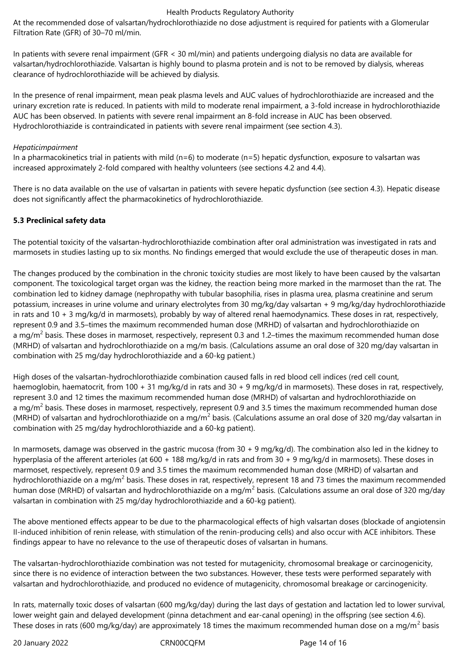At the recommended dose of valsartan/hydrochlorothiazide no dose adjustment is required for patients with a Glomerular Filtration Rate (GFR) of 30–70 ml/min.

In patients with severe renal impairment (GFR < 30 ml/min) and patients undergoing dialysis no data are available for valsartan/hydrochlorothiazide. Valsartan is highly bound to plasma protein and is not to be removed by dialysis, whereas clearance of hydrochlorothiazide will be achieved by dialysis.

In the presence of renal impairment, mean peak plasma levels and AUC values of hydrochlorothiazide are increased and the urinary excretion rate is reduced. In patients with mild to moderate renal impairment, a 3-fold increase in hydrochlorothiazide AUC has been observed. In patients with severe renal impairment an 8-fold increase in AUC has been observed. Hydrochlorothiazide is contraindicated in patients with severe renal impairment (see section 4.3).

### *Hepaticimpairment*

In a pharmacokinetics trial in patients with mild ( $n=6$ ) to moderate ( $n=5$ ) hepatic dysfunction, exposure to valsartan was increased approximately 2-fold compared with healthy volunteers (see sections 4.2 and 4.4).

There is no data available on the use of valsartan in patients with severe hepatic dysfunction (see section 4.3). Hepatic disease does not significantly affect the pharmacokinetics of hydrochlorothiazide.

### **5.3 Preclinical safety data**

The potential toxicity of the valsartan-hydrochlorothiazide combination after oral administration was investigated in rats and marmosets in studies lasting up to six months. No findings emerged that would exclude the use of therapeutic doses in man.

The changes produced by the combination in the chronic toxicity studies are most likely to have been caused by the valsartan component. The toxicological target organ was the kidney, the reaction being more marked in the marmoset than the rat. The combination led to kidney damage (nephropathy with tubular basophilia, rises in plasma urea, plasma creatinine and serum potassium, increases in urine volume and urinary electrolytes from 30 mg/kg/day valsartan + 9 mg/kg/day hydrochlorothiazide in rats and 10 + 3 mg/kg/d in marmosets), probably by way of altered renal haemodynamics. These doses in rat, respectively, represent 0.9 and 3.5–times the maximum recommended human dose (MRHD) of valsartan and hydrochlorothiazide on a mg/m<sup>2</sup> basis. These doses in marmoset, respectively, represent 0.3 and 1.2–times the maximum recommended human dose (MRHD) of valsartan and hydrochlorothiazide on a mg/m basis. (Calculations assume an oral dose of 320 mg/day valsartan in combination with 25 mg/day hydrochlorothiazide and a 60-kg patient.)

High doses of the valsartan-hydrochlorothiazide combination caused falls in red blood cell indices (red cell count, haemoglobin, haematocrit, from 100 + 31 mg/kg/d in rats and 30 + 9 mg/kg/d in marmosets). These doses in rat, respectively, represent 3.0 and 12 times the maximum recommended human dose (MRHD) of valsartan and hydrochlorothiazide on a mg/m<sup>2</sup> basis. These doses in marmoset, respectively, represent 0.9 and 3.5 times the maximum recommended human dose (MRHD) of valsartan and hydrochlorothiazide on a mg/m<sup>2</sup> basis. (Calculations assume an oral dose of 320 mg/day valsartan in combination with 25 mg/day hydrochlorothiazide and a 60-kg patient).

In marmosets, damage was observed in the gastric mucosa (from 30 + 9 mg/kg/d). The combination also led in the kidney to hyperplasia of the afferent arterioles (at 600 + 188 mg/kg/d in rats and from 30 + 9 mg/kg/d in marmosets). These doses in marmoset, respectively, represent 0.9 and 3.5 times the maximum recommended human dose (MRHD) of valsartan and hydrochlorothiazide on a mg/m<sup>2</sup> basis. These doses in rat, respectively, represent 18 and 73 times the maximum recommended human dose (MRHD) of valsartan and hydrochlorothiazide on a mg/m<sup>2</sup> basis. (Calculations assume an oral dose of 320 mg/day valsartan in combination with 25 mg/day hydrochlorothiazide and a 60-kg patient).

The above mentioned effects appear to be due to the pharmacological effects of high valsartan doses (blockade of angiotensin II-induced inhibition of renin release, with stimulation of the renin-producing cells) and also occur with ACE inhibitors. These findings appear to have no relevance to the use of therapeutic doses of valsartan in humans.

The valsartan-hydrochlorothiazide combination was not tested for mutagenicity, chromosomal breakage or carcinogenicity, since there is no evidence of interaction between the two substances. However, these tests were performed separately with valsartan and hydrochlorothiazide, and produced no evidence of mutagenicity, chromosomal breakage or carcinogenicity.

In rats, maternally toxic doses of valsartan (600 mg/kg/day) during the last days of gestation and lactation led to lower survival, lower weight gain and delayed development (pinna detachment and ear-canal opening) in the offspring (see section 4.6). These doses in rats (600 mg/kg/day) are approximately 18 times the maximum recommended human dose on a mg/m<sup>2</sup> basis

20 January 2022 CRN00CQFM Page 14 of 16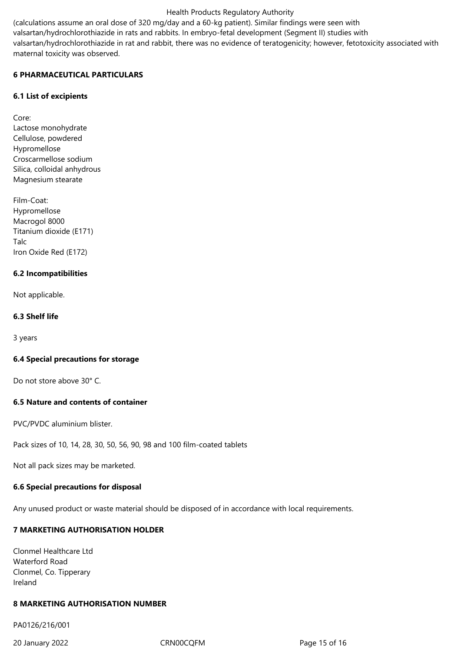(calculations assume an oral dose of 320 mg/day and a 60-kg patient). Similar findings were seen with

valsartan/hydrochlorothiazide in rats and rabbits. In embryo-fetal development (Segment II) studies with

valsartan/hydrochlorothiazide in rat and rabbit, there was no evidence of teratogenicity; however, fetotoxicity associated with maternal toxicity was observed.

# **6 PHARMACEUTICAL PARTICULARS**

### **6.1 List of excipients**

Core: Lactose monohydrate Cellulose, powdered Hypromellose Croscarmellose sodium Silica, colloidal anhydrous Magnesium stearate

Film-Coat: Hypromellose Macrogol 8000 Titanium dioxide (E171) Talc Iron Oxide Red (E172)

# **6.2 Incompatibilities**

Not applicable.

# **6.3 Shelf life**

3 years

### **6.4 Special precautions for storage**

Do not store above 30° C.

### **6.5 Nature and contents of container**

PVC/PVDC aluminium blister.

Pack sizes of 10, 14, 28, 30, 50, 56, 90, 98 and 100 film-coated tablets

Not all pack sizes may be marketed.

### **6.6 Special precautions for disposal**

Any unused product or waste material should be disposed of in accordance with local requirements.

# **7 MARKETING AUTHORISATION HOLDER**

Clonmel Healthcare Ltd Waterford Road Clonmel, Co. Tipperary Ireland

# **8 MARKETING AUTHORISATION NUMBER**

PA0126/216/001

20 January 2022 CRN00CQFM Page 15 of 16